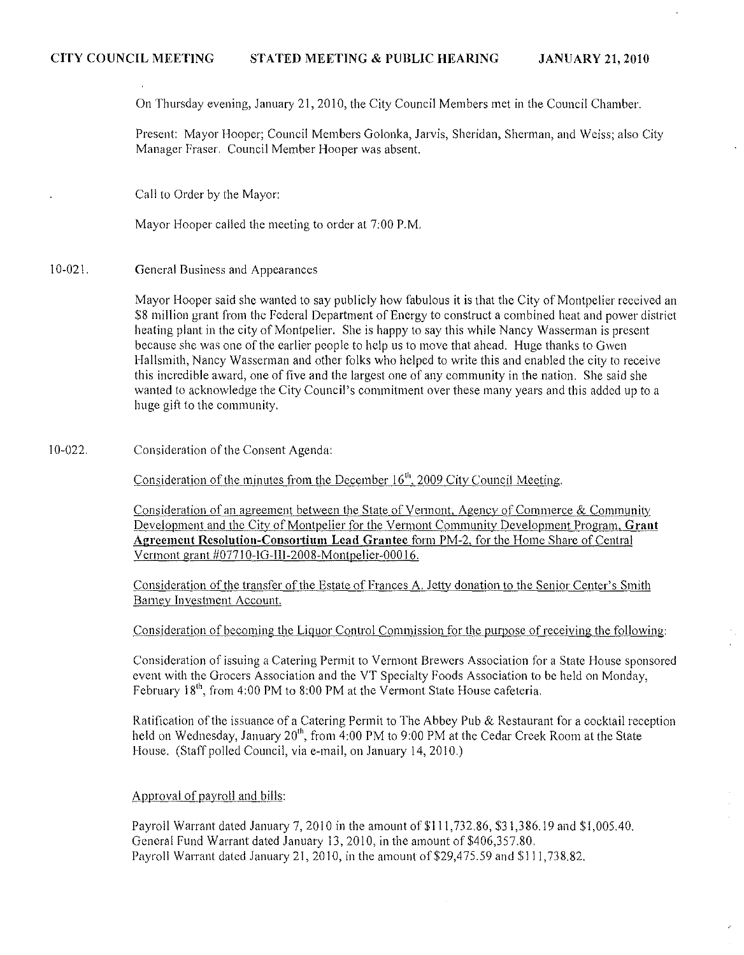On Thursday evening, January 21, 2010, the City Council Members met in the Council Chamber.

Present: Mayor Hooper; Council Members Golonka, Jarvis, Sheridan, Sherman, and Weiss; also City Manager Fraser. Couneil Member Hooper was absent.

Call to Order by the Mayor:

Mayor Hooper called the meeting to order at 7:00 P.M.

10-021. General Business and Appearances

> Mayor Hooper said she wanted to say publicly how fabulous it is that the City of Montpelier reeeived an \$8 million grant from the Federal Department of Energy to construct a combined heat and power distriet heating plant in the city of Montpelier. She is happy to say this while Nancy Wasserman is present because she was one of the earlier people to help us to move that ahead. Huge thanks to Gwen Hallsmith, Nancy Wasserman and other folks who helped to write this and enabled the city to receive this incredible award, one of five and the largest one of any community in the nation. She said she wanted to acknowledge the City Council's commitment over these many years and this addcd up to a huge gift to the community.

10-022. Considcration of the Consent Agenda:

Consideration of the minutes from the December 16<sup>th</sup>, 2009 City Council Meeting.

Consideration of an agreement between the State of Vermont, Agency of Commerce & Community 12evelopment and the City of Montpelier for the Vermont Community Development Program, **Grant Agreement Resolution-Consortium Lead Grantee** form PM-2, for the Home Share of Central Vermont grant #07710-IG-III-2008-Montpelier-00016.

Consideration of the transfer of the Estate of Frances A. Jetty donation to the Senior Center's Smith Barney Investment Account.

Consideration of becoming the Liquor Control Commission for the purpose of receiving the following:

Consideration of issuing a Catering Permit to Vermont Brewers Association for a State House sponsored event with the Grocers Association and the VT Specialty Foods Association to be held on Monday, February  $18^{th}$ , from 4:00 PM to 8:00 PM at the Vermont State House cafeteria.

Ratification of the issuance of a Catering Permit to The Abbey Pub & Restaurant for a cocktail reception held on Wednesday, January 20<sup>th</sup>, from 4:00 PM to 9:00 PM at the Cedar Creek Room at the State House. (Staff polled Council, via e-mail, on January 14,2010.)

# Approval of payroll and bills:

Payroll Warrant dated January 7, 2010 in the amount of \$111,732.86, \$31,386.19 and \$1,005.40. General Fund Warrant dated January 13, 2010, in the amount of \$406,357.80. Payroll Warrant dated January 21, 2010, in the amount of \$29,475.59 and \$111,738.82.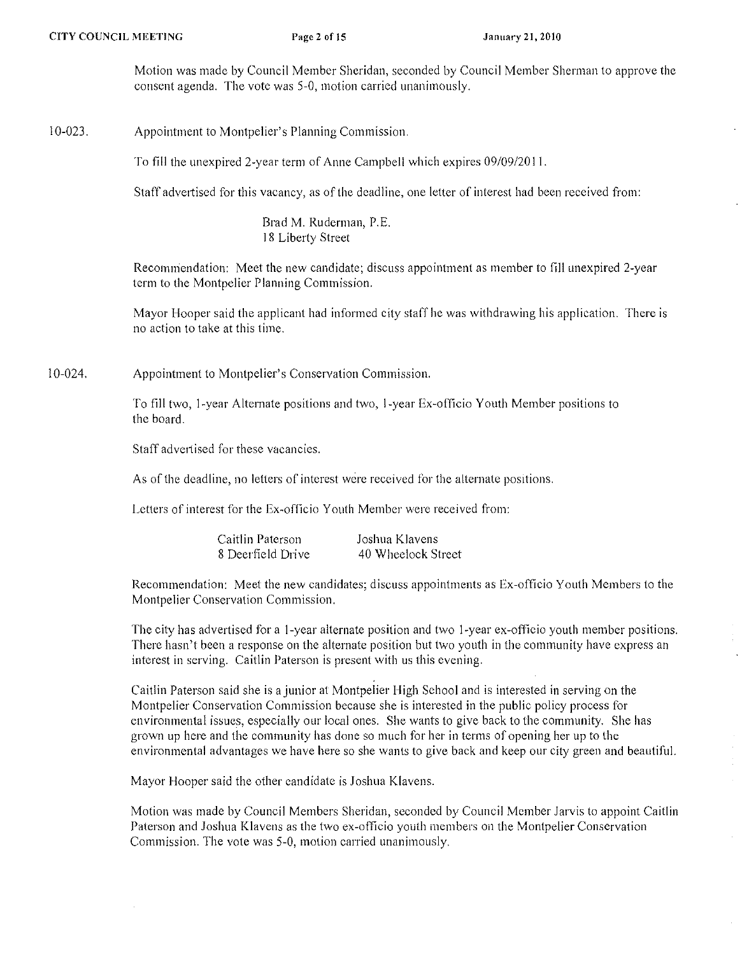Motion was made by Council Member Sheridan, seconded by Council Member Sherman to approve the consent agenda. The vote was 5-0, motion carried unanimously.

## 10-023. Appointment to Montpelier's Planning Commission.

To fill the unexpired 2-year term of Anne Campbell which expires 09/09/20 II.

Staff advertised for this vacancy, as of the deadline, one letter of interest had been received from:

Brad M. Ruderman, P.E. 18 Liberty Street

Reeomniendation: Meet the new candidate; discuss appointment as member to fill unexpired 2-year term to the Montpelier Planning Commission.

Mayor Hooper said the applicant had informed city staff he was withdrawing his application. There is no action to take at this time.

10-024. Appointment to Montpelier's Conservation Commission.

> To fill two, I-year Alternate positions and two, I-year Ex-officio Youth Member positions to the board.

Staff advertised for these vacancies.

As of the deadline, no letters of interest were received for the alternate posrtions.

Letters of interest for the Ex-officio Youth Member were received from:

| Caitlin Paterson  | Joshua Klavens     |
|-------------------|--------------------|
| 8 Deerfield Drive | 40 Wheelock Street |

Recommendation: Meet the new candidates; discuss appointments as Ex-officio Youth Members to the Montpelier Conservation Commission.

The city has advertised for a I-year alternate position and two I-year ex-officio youth member positions. There hasn't been a response on the alternate position but two youth in the community have express an interest in serving. Caitlin Paterson is present with us this evening.

Caitlin Paterson said she is a junior at Montpelier High School and is interested in serving on the Montpelier Conservation Commission because she is interested in the public policy process for environmental issues, especially our local ones. She wants to give back to the community. She has grown up here and the community has done so much for her in terms of opening her up to the environmental advantages we have here so she wants to give back and keep our city green and beautiful.

Mayor Hooper said the other candidate is Joshua Klavens.

Motion was made by Council Members Sheridan, seconded by Council Member Jarvis to appoint Cailiin Paterson and Joshua Klavens as the two ex-officio youth members on the Montpelier Conservation Commission. The vote was 5-0, motion carried unanimously.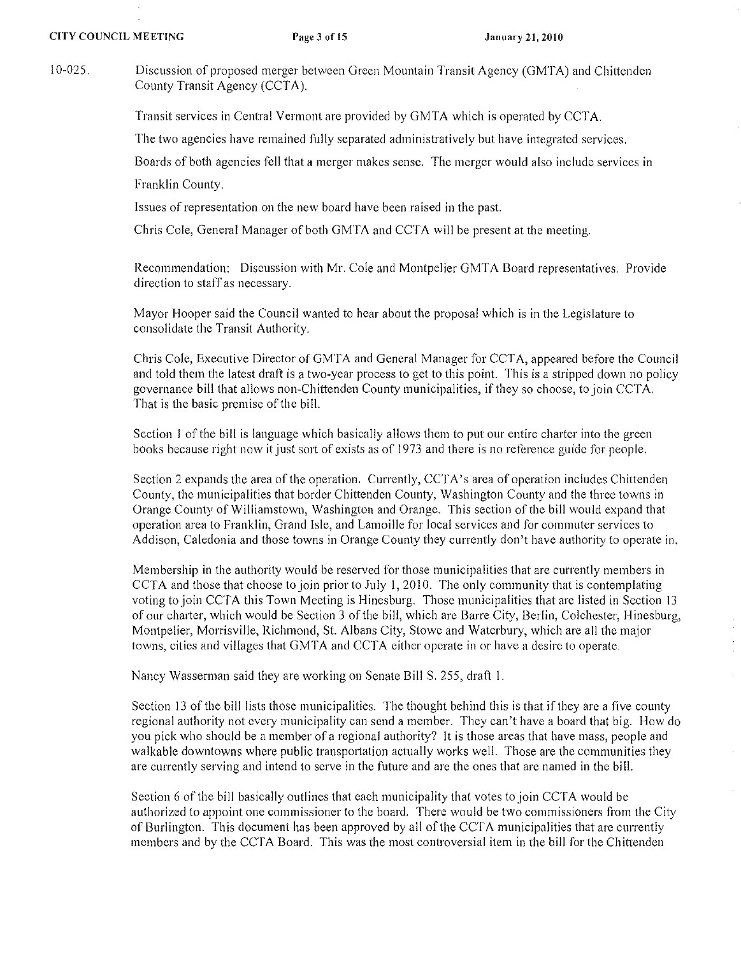10-025. Discussion of proposed merger between Green Mountain Transit Agency (GMTA) and Chittendcn County Transit Agency (CCTA).

Transit serviees in Central Vermont are provided by GMTA which is operated by CCTA.

The two agencies have remained fully separated administratively but have integrated services.

Boards of both agencies fell that a merger makes sense. The merger would also include services in

Franklin County.

Issues of representation on the new board have been raised in the past.

Chris Cole, General Manager of both GMTA and CCTA will be present at the meeting.

Recommendation: Diseussion with Mr. Cole and Montpelier GMTA Board representatives. Provide direction to staff as necessary.

Mayor Hooper said the Council wanted to hear about the proposal which is in the Legislature to consolidate the Transit Authority.

Chris Cole, Executive Director of GMTA and General Manager for CCTA, appeared before the Council and told them the latest draft is a two-year process to get to this point. This is a stripped down no policy governance bill that allows non-Chittenden County municipalities, if they so choose, to join CCTA. That is the basic premise of the bill.

Scction I of the bill is language which basically allows them to put our entire charter into the green books because right now it just sort of exists as of 1973 and there is no reference guide for people.

Section 2 expands the area of the operation. Currently, CCTA's area of operation includes Chittenden County, the municipalities that border Chittenden County, Washington County and the three towns in Orange County of Williamstown, Washington and Orange. This section of the bill would expand that operation area to Franklin, Grand Isle, and Lamoille for local services and for commuter services to Addison, Caledonia and those towns in Orange County they currently don't have authority to operate in.

Membership in the authority would be reserved for those municipalities that are currently members in CCTA and those that choose to join prior to July 1, 2010. The only community that is contemplating voting to join CCTA this Town Meeting is Hinesburg. Those municipalities that are listed in Section 13 of our charter, which would be Section 3 of the bill, which are Barre City, Berlin, Colchester, Hinesburg, Montpelier, Morrisville, Richmond, St. Albans City, Stowe and Waterbury, which are all the major towns, cities and villages that GMTA and CCTA either operate in or have a desire to operate.

Nancy Wasserman said they are working on Senate Bill S. 255, draft 1.

Section 13 of the bill lists those municipalities. The thought behind this is that if they are a five county regional authority not every municipality can send a member. They ean't have a board that big. How do you pick who should be a member of a regional authority? It is those areas that have mass, people and walkable downtowns where public transportation actually works well. Those are the communities they are currently serving and intend to serve in the future and are the ones that are named in the bill.

Section 6 of the bill basically outlines that each municipality that votes to join CCTA would be authorized to appoint one commissioner to the board. There would be two commissioners from the City of Burlington. This document has been approved by all of the CCTA municipalities that are currently members and by the CCTA Board. This was the most controversial item in the bill for the Chittenden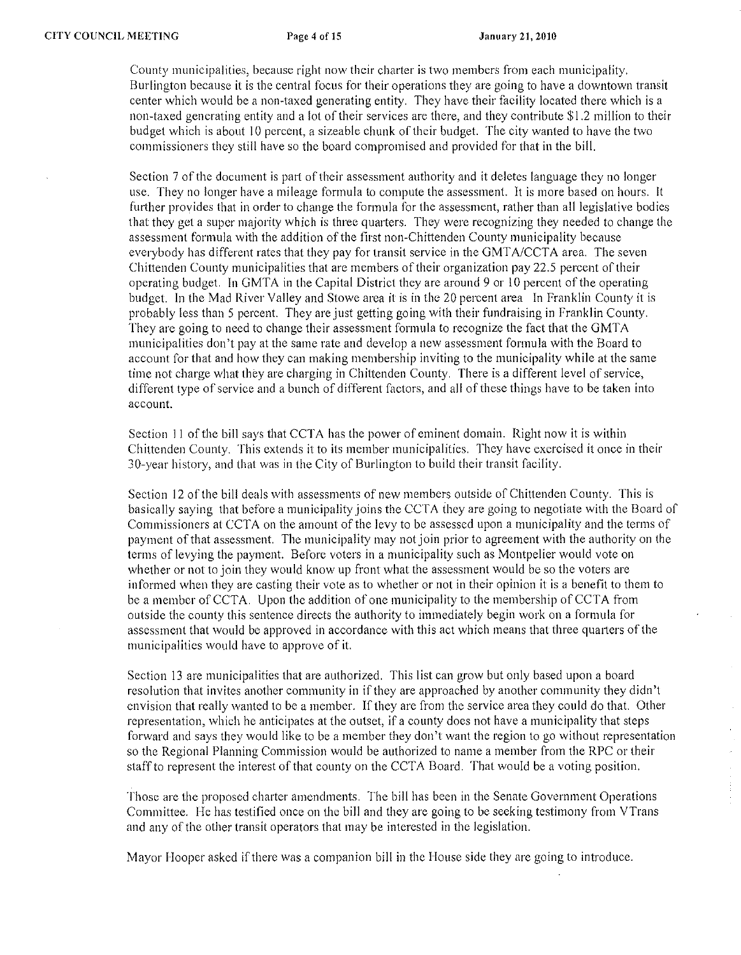County municipalities, because right now their charter is two members from each municipality. Burlington because it is the central focus for their operations they are going to have a downtown transit center which would be a non-taxcd generating entity. They have their facility located therc which is a non-taxed generating entity and a lot of their services are there, and they contribute \$1.2 million to their budget which is about 10 percent, a sizeable chunk of their budget. The city wanted to have the two commissioners they still have so the board compromised and provided for that in the bill.

Section 7 of the document is part of their assessment authority and it deletes language they no longer use. They no longer have a mileage formula to compute the assessment. It is more based on hours. It further providcs that in order to change the formula for the assessment, rather than all legislative bodies that they get a super majority which is three quarters. They were recognizing they needed to change the assessment formula with the addition of the first non-Chittenden County municipality because everybody has different rates that they pay for transit service in the *GMTNCCTA* area. The seven Chittenden County municipalities that arc members of their organization pay 22.5 percent of their operating budget. In GMTA in the Capital District they are around 9 or 10 percent of the operating budget. In the Mad River Valley and Stowe area it is in the 20 percent area In Franklin County it is probably less than 5 percent. They are just getting going with their fundraising in Franklin County. They are going to need to change their assessment formula to recognize the fact that the GMT A municipalities don't pay at the same rate and develop a new assessment formula with the Board to account for that and how they can making membership inviting to the municipality while at the same time not charge what they are charging in Chittenden County. There is a different level of service, different type of service and a bunch of different factors, and all of these things have to be taken into **account.** 

Section 11 of the bill says that CCTA has the power of eminent domain. Right now it is within Chittenden County. This extends it to its member municipalities. They have exercised it once in their 30-year history, and that was in the City of Burlington to build their transit facility.

Section 12 of the bill deals with assessments of new members outside of Chittenden County. This is basically saying that before a municipality joins the CCTA they are going to negotiate with the Board of Commissioners at CCTA on the amount of the levy to be assessed upon a municipality and the terms of payment of that assessment. The municipality may not join prior to agreement with the authority on the terms of levying the payment. Before voters in a municipality such as Montpelier would vote on whether or not to join they would know up front what the assessment would be so the voters are informed when they are casting their vote as to whether or not in their opinion it is a benefit to them to be a member of CCTA. Upon the addition of one municipality to the membership of CCTA from outside the county this sentence directs the authority to immediately begin work on a formula for assessment that would be approved in accordance with this act which means that three quarters of the municipalities would have to approve of it.

Section 13 are municipalities that are authorized. This list can grow but only based upon a board resolution that invites another community in if they are approached by another community they didn't envision that really wanted to be a member. If they are from the service area they could do that. Other representation, which he anticipates at the outset, if a county does not have a municipality that steps forward and says they would like to be a member they don't want the region to go without representation so the Regional Planning Commission would be authorized to name a member from the RPC or their staff to represent the interest of that county on the CCTA Board. That would be a voting position.

 $\hat{\vec{r}}$ 

Those are the proposed charter amendments. The bill has been in the Senate Government Operations Committee. He has testified once on the bill and they are going to be seeking testimony from VTrans and any of the other transit operators that may be interested in the legislation.

Mayor Hooper asked if there was a companion bill in the House side they are going to introduce.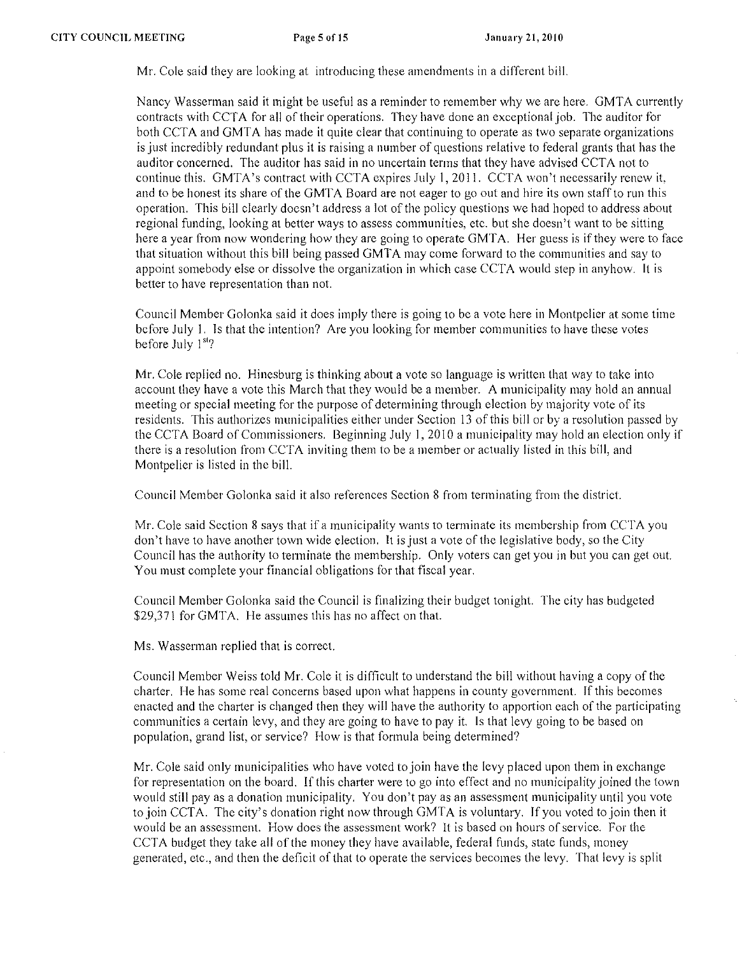Mr. Cole said they are looking at introducing these amendments in a different bill.

Nancy Wasserman said it might be useful as a reminder to remember why we are here. GMTA currently contracts with CCTA for all of their operations. They have done an exceptional job. The auditor for both CCTA and GMTA has made it quite clear that continuing to operate as two separate organizations is just incredibly redundant plus it is raising a number of questions relative to federal grants that has the auditor concerned. The auditor has said in no uncertain terms that they have advised CCTA not to continue this. GMTA's contract with CCTA expires July 1, 2011. CCTA won't necessarily renew it, and to be honest its share of the GMTA Board are not eager to go out and hire its own staff to run this operation. This bill clearly doesn't address a lot of the policy questions we had hoped to address about regional funding, looking at better ways to asscss communities, etc. but she doesn't want to be sitting here a year from now wondcring how they are going to operate GMTA. Her guess is if they were to face that situation without this bill being passed GMTA may come forward to the communities and say to appoint somebody else or dissolve the organization in which case CCTA would step in anyhow. It is better to have representation than not.

Council Member Golonka said it does imply there is going to be a vote here in Montpelier at some time before July I. Is that the intention? Arc you looking for member communities to have these votes before July 1<sup>st</sup>?

Mr. Cole replied no. Hinesburg is thinking about a vote so language is written that way to take into account they have a vote this March that they would be a member. A municipality may hold an annual meeting or special meeting for the purpose of determining through election by majority vote of its residents. This authorizes municipalities either under Section 13 of this bill or by a resolution passed by the CCTA Board of Commissioners. Beginning July 1, 2010 a municipality may hold an election only if there is a resolution from CCTA inviting them to be a member or actually listed in this bill, and Montpelier is listed in the bill.

Council Member Golonka said it also references Section 8 from terminating from the district.

Mr. Cole said Section 8 says that if a municipality wants to terminate its membership from CCTA you don't have to have another town wide election. It is just a vote of the legislative body, so the City Council has the authority to tenninate the membership. Only voters can get you in but you can gct out. You must complete your financial obligations for that fiscal year.

Council Member Golonka said the Council is finalizing their budget tonight. The city has budgeted \$29,371 for GMTA. He assumes this has no affect on that.

Ms. Wasserman replied that is corrcct.

Council Member Weiss told Mr. Cole it is difficult to understand the bill without having a copy of the charter. He has some real concerns based upon what happens in county govcrnment. If this becomes enacted and the charter is changed then they will have the authority to apportion each of the participating communities a certain levy, and they are going to have to pay it. Is that levy going to be based on population, grand list, or service? How is that formula being determined?

Mr. Cole said only municipalities who have voted to join have the levy placed upon them in exchange for representation on the board. If this charter were to go into effect and no municipality joined the town would still pay as a donation municipality. You don't pay as an assessment municipality until you vote to join CCTA. The city's donation right now through GMTA is voluntary. If you voted to join then it would be an assessment. How does the assessment work? It is based on hours of service. For the CCTA budget they take all of the money they have available, federal funds, state funds, money generated, ctc., and then the dcficit of that to operate the services becomes the levy. That levy is split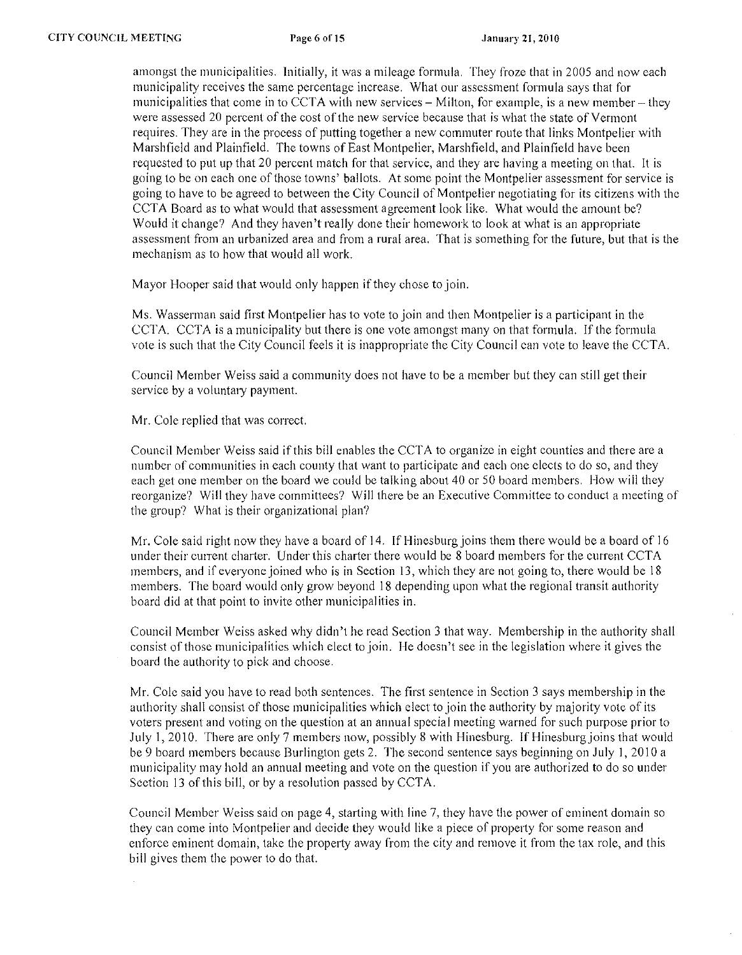amongst the municipalities. Initially, it was a mileage formula. They froze that in 2005 and now cach municipality receives the same percentage increase. What our assessment formula says that for municipalities that come in to CCTA with new services  $-$  Milton, for example, is a new member  $-$  they were assessed 20 percent of the cost of the new service because that is what the state of Vermont requires. They are in the process of putting together a new commuter route that links Montpelier with Marshfield and Plainfield. The towns of East Montpelier, Marshfield, and Plainfield have been requested to put up that 20 percent match for that service, and they are having a meeting on that. It is going to be on each one of those towns' ballots. At some point the Montpelier assessment for service is going to have to be agreed to between the City Council of Montpelier negotiating for its citizens with the CCTA Board as to what would that assessment agreement look like. What would the amount be? Would it change? And they haven't really done their homework to look at what is an appropriate assessment from an urbanized area and from a rural area. That is something for the future, but that is the mechanism as to how that would all work.

Mayor Hooper said that would only happen if they chose to join.

Ms. Wasserman said first Montpelier has to vote to join and then Montpelier is a participant in the CCTA. CCTA is a municipality but there is one vote amongst many on that formula. If the formula vote is such that the City Council feels it is inappropriate thc City Council can vote to leave the CCTA.

Council Member Weiss said a community does not havc to be a member but they can still get their service by a voluntary payment.

Mr. Cole replied that was correct.

Council Member Weiss said if this bill enables the CCTA to organize in eight counties and there are a numbcr of communities in each county that want to participatc and each one elects to do so, and they each get one member on the board we could be talking about 40 or 50 board members. How will they reorganize? Will they have committees? Will there be an Executive Committee to conduct a meeting of the group? What is their organizational plan?

Mr. Cole said right now they have a board of 14. If Hinesburg joins them there would be a board of 16 under their current charter. Under this charter there would be 8 board members for the current CCTA members, and if everyone joined who is in Section 13, which they are not going to, there would be 18 members. The board would only grow beyond 18 depending upon what the regional transit authority board did at that point to invite other municipalities in.

Council Member Weiss asked why didn't he read Section 3 that way. Membcrship in thc authority shall consist of those municipalitics which elect to join. He doesn't see in the legislation where it gives the board the authority to pick and choose.

Mr. Cole said you have to read both sentences. The first sentence in Section 3 says membership in the authority shall consist of those municipalities which elect to join the authority by majority vote of its voters present and voting on the question at an annual special meeting warned for such purpose prior to July 1,2010. There are only 7 members now, possibly 8 with Hinesburg. If Hinesburgjoins that would be 9 board members because Burlington gets 2. The second sentence says beginning on July 1, 2010 a municipality may hold an annual meeting and vote on the question if you are authorized to do so under Section 13 of this bill, or by a resolution passcd by CCTA.

Council Member Weiss said on page 4, starting with line 7, they have the power of eminent domain so they can come into Montpelier and decide they would like a piece of property for some reason and enforce eminent domain, take the property away from the city and remove it from the tax role, and this bill gives them the power to do that.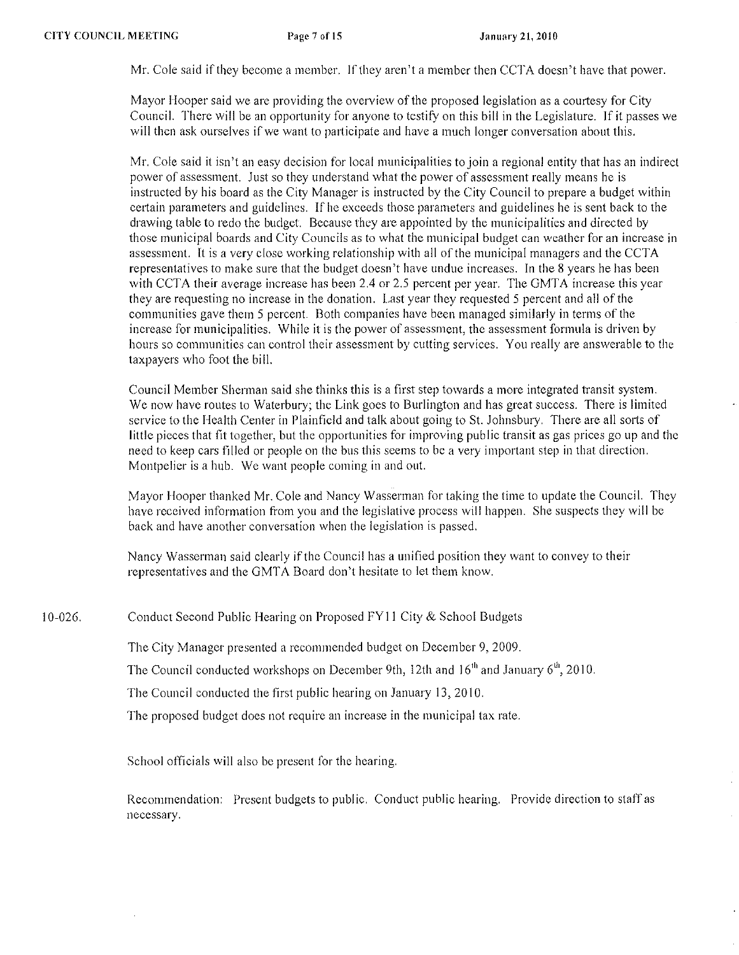Mr. Cole said if they become a member. If they aren't a member then CCTA doesn't have that power.

Mayor Hooper said we are providing the overview of the proposed legislation as a courtesy for City Council. There will be an opportunity for anyone to tcstify on this bill in the Legislature. If it passes we will then ask ourselves if we want to participate and have a much longer conversation about this.

Mr. Cole said it isn't an easy decision for local municipalities to join a regional entity that has an indirect power of assessment. Just so they understand what the power of assessment really means he is instructed by his board as the City Manager is instructed by the City Council to prepare a budget within certain parameters and guidclincs. If he exceeds thosc parameters and guidelines he is sent back to the drawing table to redo the budget. Because they are appointed by the municipalities and directed by those municipal boards and City Councils as to what the municipal budget can weather for an increase in assessment. It is a very close working relationship with all of the municipal managers and the CCTA representatives to make sure that the budget doesn't have undue increases. In the 8 years he has been with CCTA their average increase has been 2.4 or 2.5 percent per year. The GMTA increase this year they are requesting no increase in the donation. Last year they requested 5 percent and all of the communities gave them 5 percent. Both companies have been managed similarly in terms of the increase for municipalities. While it is the power of assessment, the assessment formula is driven by hours so communities can control their assessment by cutting services. You really are answerable to the taxpayers who foot the bill.

Council Member Sherman said she thinks this is a first step towards a more integrated transit system. We now have routes to Waterbury; the Link goes to Burlington and has great success. There is limited service to the Health Center in Plainfield and talk about going to St. Johnsbury. There are all sorts of little pieces that fit together, but the opportunities for improving public transit as gas prices go up and the need to keep cars fillcd or people on thc bus this seems to bc a very important step in that direction. Montpelier is a hub. We want people coming in and out.

Mayor Hooper thanked Mr. Cole and Nancy Wasserman for taking the time to update the Council. They havc reccivcd information from you and the legislative process will happen. She suspects they will be back and have another conversation when the legislation is passed.

Nancy Wasserman said clearly if the Council has a unified position they want to convey to their representatives and the GMTA Board don't hesitate to let them know.

10-026. Conduct Second Public Hearing on Proposed FYII City & School Budgets

The City Manager presented a recommended budget on December 9, 2009.

The Council conducted workshops on December 9th, 12th and 16<sup>th</sup> and January 6<sup>th</sup>, 2010.

The Council conducted the first public hearing on January 13, 2010.

The proposed budget does not require an increase in the municipal tax rate.

School officials will also be present for the hearing.

Recommendation: Present budgets to public. Conduct public hearing. Provide direction to staff as necessary.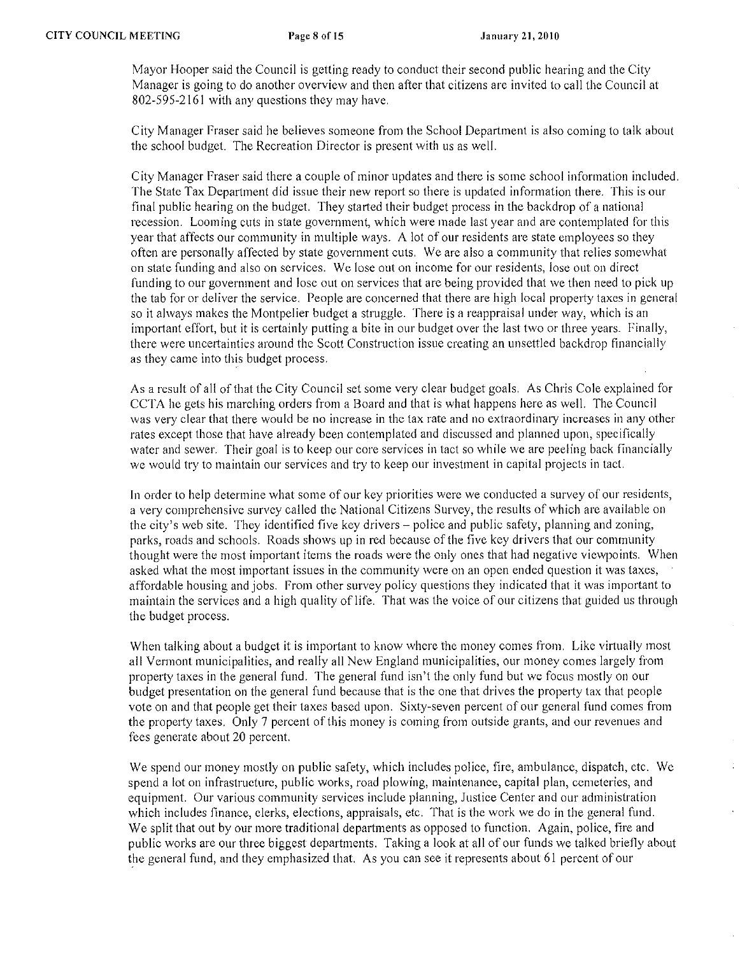Mayor Hooper said the Council is getting ready to conduct their second public hearing and thc City Manager is going to do another overview and then after that citizens arc invited to call the Council at 802-595-2161 with any questions they may have.

City Manager Fraser said he believes someone from the School Department is also coming to talk about the school budget. The Recreation Director is present with us as well.

City Manager Fraser said there a couplc of minor updates and there is some school information included. The State Tax Department did issue their new report so there is updated information there. This is our final public hearing on the budget. They started their budget process in the backdrop of a national recession. Looming cuts in state government, which were made last year and arc contemplated for this year that affects our community in multiple ways. A lot of our residents are state employees so they often are personally affected by state government cuts. We arc also a community that relies somewhat on state funding and also on services. We lose out on income for our residents, lose out on direct funding to our government and lose out on services that are being provided that we then need to pick up the tab for or deliver the service. People are concerned that there are high local property taxes in general so it always makes the Montpelier budget a struggle. There is a reappraisal under way, which is an important effort, but it is certainly putting a bite in our budget over the last two or three years. Finally, there were uncertainties around the Scott Construction issue creating an unsettled backdrop financially as they camc into this budget process.

As a result of all of that the City Council set some very clear budget goals. As Chris Cole explained for cerA he gets his marching orders from a Board and that is what happens here as well. The Council was very clear that there would be no increase in the tax rate and no extraordinary increases in any other rates except those that have already been contemplated and discussed and planned upon, specifically water and sewer. Their goal is to keep our core services in tact so while we arc peeling back financially we would try to maintain our services and try to keep our investment in capital projects in tact.

In order to help determine what some of our key priorities were we conducted a survey of our residents, a very comprehensive survey called the National Citizens Survey, the results of which are available on the city's web site. They identified five key drivers – police and public safety, planning and zoning, parks, roads and schools. Roads shows up in red because of the five key drivers that our community thought were the most important items the roads were the only ones that had negative viewpoints. When asked what the most important issues in the community were on an open ended question it was taxes, affordable housing and jobs. From other survey policy questions they indicated that it was important to maintain the services and a high quality of life. That was the voice of our citizens that guided us through the budget process.

When talking about a budget it is important to know where the money comes from. Like virtually most all Vermont municipalities, and really all New England municipalities, our money comes largely from property taxes in the general fund. The general fund isn't the only fund but we focus mostly on our budget presentation on the general fund because that is the one that drives the property tax that people vote on and that people get their taxes based upon. Sixty-seven percent of our general fund comes from the property taxes. Only 7 percent of this money is coming from outside grants, and our revenues and fees generate about 20 percent.

We spend our money mostly on public safety, which includes police, fire, ambulance, dispatch, etc. We spend a lot on infrastructure, public works, road plowing, maintenance, capital plan, cemeteries, and equipment. Our various community services include planning, Justice Center and our administration which includes finance, clerks, elections, appraisals, etc. That is the work we do in the general fund. We split that out by our more traditional departments as opposed to function. Again, police, fire and public works are our three biggest departments. Taking a look at all of our funds we talked briefly about the general fund, and they emphasized that. As you can see it represents about 61 percent of our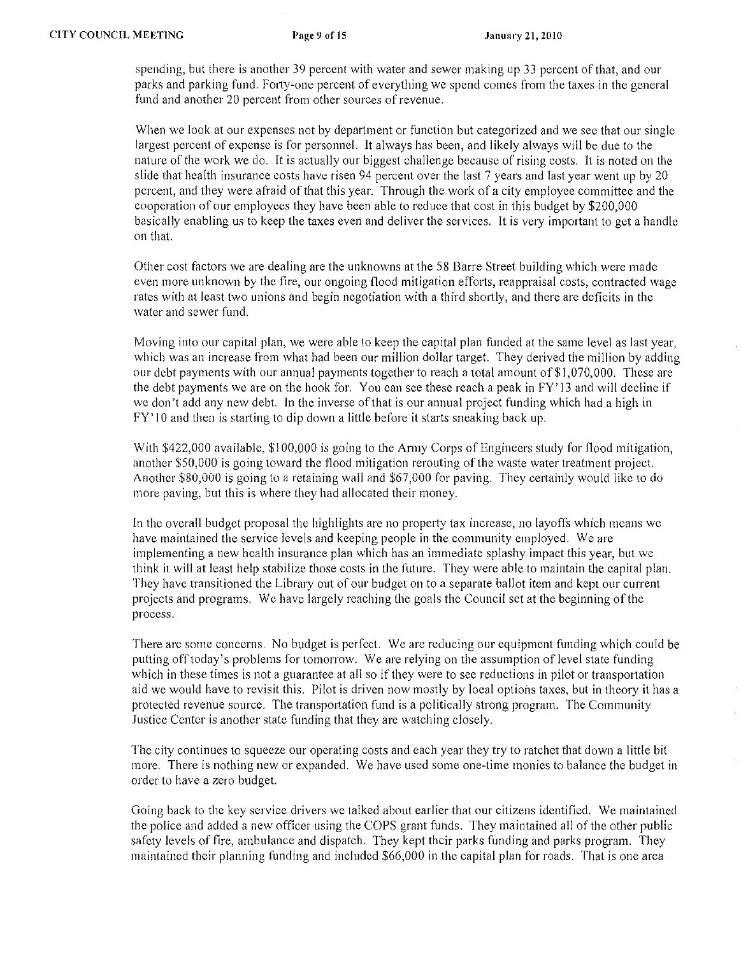spending, but there is another 39 percent with water and sewer making up 33 percent of that, and our parks and parking fund. Forty-one percent of everything we spend comes from the taxes in the general fund and another 20 percent from other sources of revenue.

When we look at our expenses not by department or function but categorized and we see that our single largest percent of expense is for personnel. It always has been, and likely always will be due to the nature of the work we do. It is actually our biggest challenge because of rising costs. It is noted on the slide that health insuranec costs have risen 94 percent over the last 7 years and last year went up by 20 percent, and they were afraid of that this year. Through the work of a city employee committee and the coopcration of our employees they have been able to rcduce that cost in this budget by \$200,000 basically enabling us to keep the taxes even and deliver the services. It is very important to get a handle on that.

Other cost factors we are dealing are the unknowns at the 58 Barre Street building which were made even more unknown by the fire, our ongoing flood mitigation efforts, reappraisal costs, contracted wage rates with at least two unions and begin negotiation with a third shortly, and there are deficits in the water and sewer fund.

Moving into our capital plan, we were able to keep the capital plan funded at the same level as last year, which was an increase from what had been our million dollar target. They derived the million by adding our debt payments with our annual payments together to reach a total amount of\$I,070,000. These are the debt payments we arc on the hook for. You can see these reach a peak in FY' 13 and will decline if we don't add any new debt. In the inverse of that is our annual project funding which had a high in  $FY'$  10 and then is starting to dip down a little before it starts sneaking back up.

With \$422,000 available, \$100,000 is going to the Army Corps of Engineers study for flood mitigation, another \$50,000 is going toward the flood mitigation rerouting of the waste water treatment project. Another \$80,000 is going to a retaining wall and \$67,000 for paving. They certainly would like to do more paving, but this is where they had allocated their money.

In the overall budget proposal the highlights are no property tax increase, no layoffs which means we have maintained the service levels and keeping people in the community employed. We are implementing a new health insurance plan which has an immediate splashy impact this year, but we think it will at least help stabilize those costs in the future. They were able to maintain the capital plan. They have transitioned the Library out of our budget on to a separate ballot item and kept our current projects and programs. We have largely reaching the goals the Council set at the beginning of the process.

There arc some concerns. No budget is perfect. We are reducing our equipment funding which could be putting offtoday's problems for tomorrow. We are relying on the assumption of level state funding which in these times is not a guarantee at all so if they were to see reductions in pilot or transportation aid we would have to revisit this. Pilot is driven now mostly by local options taxes, but in theory it has a protected revenue source. The transportation fund is a politically strong program. The Community Justice Center is another state funding that they are watching closely.

The city continues to squeeze our operating costs and each year they try to ratehet that down a little bit more. There is nothing new or expanded. We have used some one-time monies to balance the budget in order to have a zero budget.

Going back to the key service drivers we talked about earlier that our citizens identified. We maintained the police and added a new officer using the COPS grant funds. They maintained all of the other public safety levels of fire, ambulance and dispatch. They kept their parks funding and parks program. They maintained their planning funding and included \$66,000 in the capital plan for roads. That is one area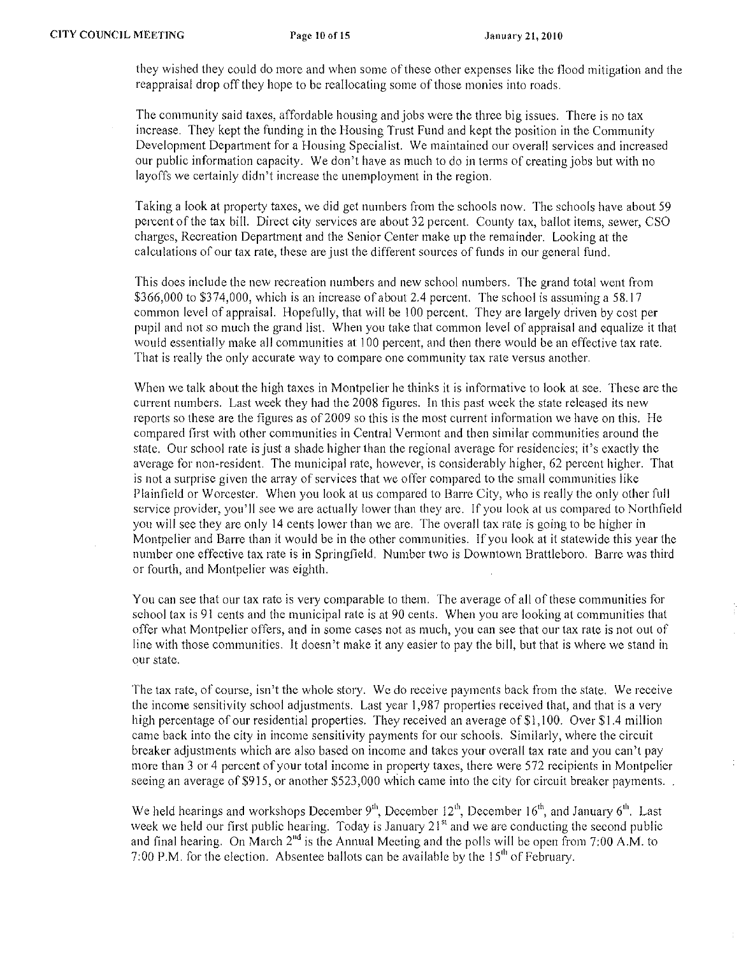they wished they could do more and when some of these other expenses like the flood mitigation and the reappraisal drop off they hope to be reallocating some of those monics into roads.

The community said taxes, affordable housing and jobs wcre the threc big issues, There is no tax increase. They kept the funding in the Housing Trust Fund and kept the position in the Community Development Department for a Housing Specialist. We maintained our overall services and increased our public information capacity. We don't have as much to do in terms of creating jobs but with no layoffs we certainly didn't increase the unemployment in the region.

Taking a look at property taxes, we did get numbers from the schools now. The schools have about 59 percent of the tax bil!. Direct city services are about 32 percent. County tax, ballot items, sewer, CSO charges, Recreation Department and the Senior Center make up the remainder. Looking at the calculations of our tax rate, thesc are just the different sources of funds in our general fund.

This does include the new recreation numbers and new school numbers. The grand total went from \$366,000 to \$374,000, which is an increase of about 2.4 percent. The school is assuming a 58.17 common level of appraisal. Hopefully, that will be 100 percent. They are largely driven by cost per pupil and not so much the grand list. When you take that common level of appraisal and equalize it that would essentially make all communities at ! 00 percent, and then there would be an effective tax rate. That is really the only accurate way to compare one community tax rate versus another.

When we talk about the high taxes in Montpelier he thinks it is informative to look at see. These are the current numbers. Last week they had the 2008 figures. In this past week the state released its new reports so these are the figures as of 2009 so this is the most current information we have on this. He compared first with other communities in Central Vermont and then similar communitics around the state. Our school rate is just a shade higher than the regional average for residencies; it's exactly the average for non-resident. The municipal rate, however, is considerably higher, 62 percent higher. That is not a surprise given the array of services that we offer compared to the small communities like Plainfield or Worcester. When you look at us compared to Barre City, who is really the only other full service provider, you'll see we are actually lower than they are. If you look at us compared to Northfield you will see they are only 14 cents lower than we are. The overall tax rate is going to be higher in Montpelier and Barre than it would be in the other communities. If you look at it statewide this year the number one effective tax rate is in Springfield. Number two is Downtown Brattleboro. Barre was third or fourth, and Montpelier was eighth.

You can see that our tax rate is very comparable to them. The average of all of these communities for school tax is 91 cents and the municipal rate is at 90 cents. When you are looking at communities that offer what Montpelier offers, and in some cases not as much, you can see that our tax rate is not out of line with those communities. It doesn't make it any easier to pay the bill, but that is where we stand in our state.

The tax rate, of course, isn't the whole story. We do receive payments back from the state. We receive the income sensitivity school adjustments. Last year 1,987 properties received that, and that is a very high percentage of our residential properties. They received an average of  $\frac{1}{2}$ , 100. Over \$1.4 million came back into the city in income sensitivity payments for our schools. Similarly, where the circuit breaker adjustments which are also based on income and takes your overall tax rate and you can't pay more than 3 or 4 percent of your total income in property taxes, there were 572 recipients in Montpelier seeing an average of \$915, or another \$523,000 which came into the city for circuit breaker payments...

We held hearings and workshops December  $9<sup>th</sup>$ , December 12<sup>th</sup>, December 16<sup>th</sup>, and January 6<sup>th</sup>. Last week we held our first public hearing. Today is January  $21<sup>st</sup>$  and we are conducting the second public and final hearing. On March 2"d is the Annual Meeting and the polls will be open from 7:00 A.M. to 7:00 P.M. for the election. Absentee ballots can be available by the  $15<sup>th</sup>$  of February.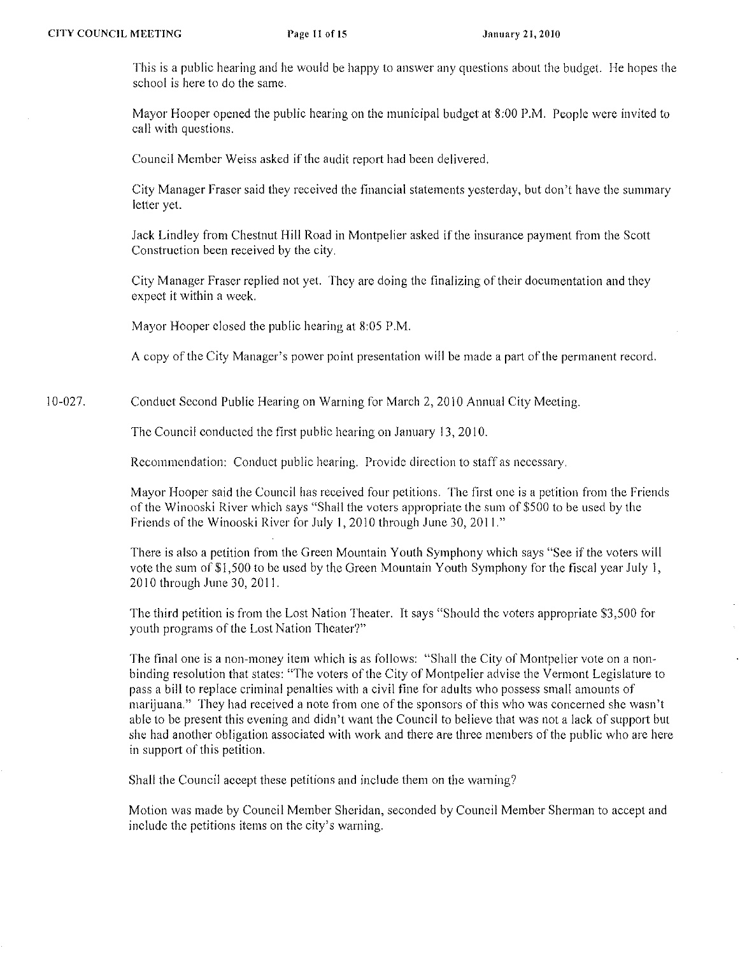This is a public hearing and he would be happy to answer any questions about the budget. He hopes the school is here to do the same.

Mayor Hooper opened the public hearing on the municipal budget at 8:00 P.M. People were invited to call with questions.

Council Member Weiss askcd if the audit report had been delivered.

City Manager Fraser said they received the financial statements yesterday, but don't have the summary letter yet.

Jack Lindley from Chestnut Hill Road in Montpelier asked if the insurance payment from the Scott Construetion been received by the city.

City Manager Fraser replied not yet. Thcy are doing thc finalizing of their documentation and they expeet it within a week.

Mayor Hooper elosed the public hearing at 8:05 P.M.

A copy of the City Manager's power point presentation will be made a part of the permanent record.

10-027. Conduct Second Public Hearing on Warning for March 2, 2010 Annual City Meeting.

The Council conducted the first public hearing on January 13, 2010.

Recommendation: Conduct public hearing. Provide direction to staff as necessary.

Mayor Hooper said the Council has received four petitions. The first one is a petition from the Friends of the Winooski River which says "Shall the voters appropriate the sum of \$500 to be used by the Friends of the Winooski River for July 1, 2010 through June 30, 2011."

There is also a petition from the Green Mountain Youth Symphony which says "See if the voters will vote the sum of \$ I ,500 to be used by the Green Mountain Youth Symphony for the fiscal year July I, 2010 through June 30, 201 I.

The third petition is from the Lost Nation Theater. It says "Should the voters appropriate \$3,500 for youth programs of the Lost Nation Theater'?"

The final one is a non-money item which is as follows: "Shall the City of Montpelicr vote on a nonbinding resolution that states: "The voters of the City of Montpelier advise the Vermont Legislature to pass a bill to replace criminal penalties with a civil tine for adults who possess small amounts of marijuana." They had received a note from one of the sponsors of this who was concerned she wasn't able to be present this evening and didn't want the Council to believe that was not a lack of support but she had another obligation associated with work and there are three members of the public who are here in support of this petition.

Shall the Council accept these petitions and include them on the warning?

Motion was made by Council Member Sheridan, seconded by Council Member Shennan to accept and include the petitions items on the city's warning.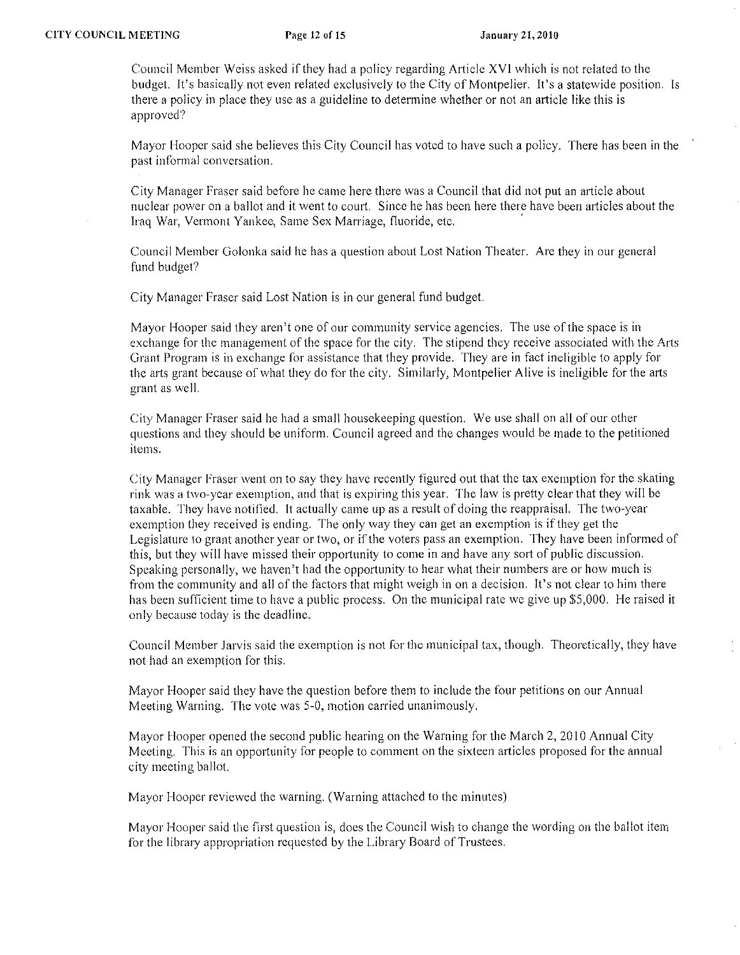Council Member Weiss asked if they had a policy regarding Article XVI which is not related to the budget. It's basically not even related exclusively to the City of Montpelier. It's a statewide position. Is there a policy in place they usc as a guideline to determine whether or not an article like this is approved?

Mayor Hooper said she believes this City Council has voted to have such a policy. There has been in the **past informal conversation.** 

City Manager Fraser said before he came here there was a Council that did not put an article about nuclear power on a ballot and it went to court. Since he has been here there have been articles about the Iraq War, Vermont Yankee, Same Sex Marriage, fluoride, etc. '

Council Member Golonka said he has a question about Lost Nation Theater. Are they in our general fund budget?

City Manager Fraser said Lost Nation is in our general fund budget.

Mayor Hooper said they aren't one of our community service agencies. The use of the space is in exchange for the management of the space for the city. The stipend they receive associated with the Arts Grant Program is in exchange for assistance that they provide. They are in fact ineligible to apply for the arts grant because of what they do for the city. Similarly, Montpelier Alive is ineligible for the arts grant as well.

City Manager Fraser said he had a small housekeeping question. We use shall on all of our other questions and they should be uniform. Council agreed and the changes would be made to the petitioned **items.** 

City Manager Fraser went on to say they have recently figured out that the tax exemption for the skating rink was a two-year exemption, and that is expiring this year. The law is pretty clear that they will be taxable. They have notified. It actually came up as a result of doing the reappraisal. The two-year exemption they received is ending. The only way they can get an exemption is if they get the Legislature to grant another year or two, or if the voters pass an exemption. They have been informed of this, but they will have missed their opportunity to come in and have any sort of public discussion. Speaking personally, we haven't had the opportunity to hear what their numbers are or how much is from the community and all of the factors that might weigh in on a decision. It's not clear to him there has been sufficient time to have a public process. On the municipal rate we give up \$5,000. He raised it only because today is the deadline.

Council Member Jarvis said the exemption is not for the municipal tax, though. Theoretically, they have not had an exemption for this.

Mayor Hooper said they have the question before them to include the four petitions on our Annual Meeting Warning. The vote was 5-0, motion carried unanimously.

Mayor Hooper opened the second public hearing on the Warning for the March 2, 2010 Annual City Meeting. This is an opportunity for people to comment on the sixteen articles proposed for the annual city meeting ballot.

Mayor Hooper reviewed the warning. (Warning attached to the minutes)

Mayor Hooper said the first question is, does the Council wish to change the wording on the ballot item for the library appropriation requested by the Library Board of Trustees.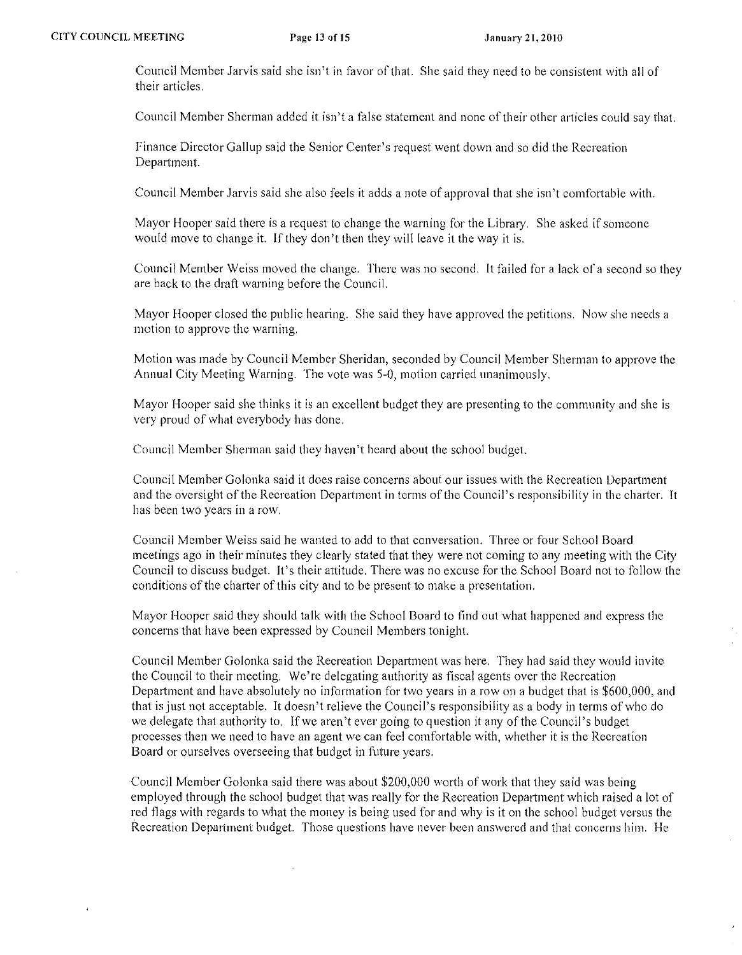Council Member Jarvis said she isn't in favor of that. She said they need to be consistent with all of their articles.

Council Member Shennan added it isn't a false statement and none of their other articles could say that.

Finance Director Gallup said the Senior Center's request went down and so did the Recreation Department.

Council Member Jarvis said she also feels it adds a note of approval that she isn't comfortable with.

Mayor Hooper said there is a request to change the warning for the Library. She asked if someone would move to change it. If they don't then they will leave it the way it is.

Council Member Weiss moved the change. There was no second. It failed for a lack of a second so they arc back to the draft warning before the Council.

Mayor Hooper closed the public hearing. She said they have approved the petitions. Now she needs a motion to approve the warning.

Motion was made by Council Member Sheridan, seconded by Council Member Sherman to approve the Annual City Meeting Warning. The vote was 5-0, motion carried unanimously.

Mayor Hooper said she thinks it is an excellent budget they are presenting to the community and she is very proud of what everybody has done.

Council Member Sherman said they haven't heard about the school budget.

Council Member Golonka said it does raise concerns about our issues with the Recreation Department and the oversight of the Recreation Department in terms of the Council's responsibility in the charter. It **has been two years in a row.** 

Council Member Weiss said he wanted to add to that conversation. Three or four School Board meetings ago in their minutes they clearly stated that they were not coming to any meeting with the City Council to discuss budget. It's their attitude. There was no excuse for the School Board not to follow the conditions of the charter of this city and to be present to make a presentation.

Mayor Hooper said they should talk with the School Board to find out what happened and express the concerns that have been expressed by Council Members tonight.

Council Member Golonka said the Recreation Department was here. They had said they would invite the Council to their meeting. We're delegating authority as fiscal agents over the Recreation Department and have absolutely no information for two years in a row on a budget that is \$600,000, and that isjust not acceptable. It doesn't relieve the Council's responsibility as a body in terms of who do we delegate that authority to. If we aren't ever going to question it any of the Council's budget processes then we need to have an agent we can feel comfortable with, whether it is the Recreation Board or ourselves overseeing that budget in future years.

Council Mcmber Golonka said there was about \$200,000 worth of work that they said was being employed through the school budget that was really for the Recreation Department which raised a lot of red flags with regards to what the money is being used for and why is it on the school budget versus the Recreation Department budget. Those questions have never been answered and that concerns him. He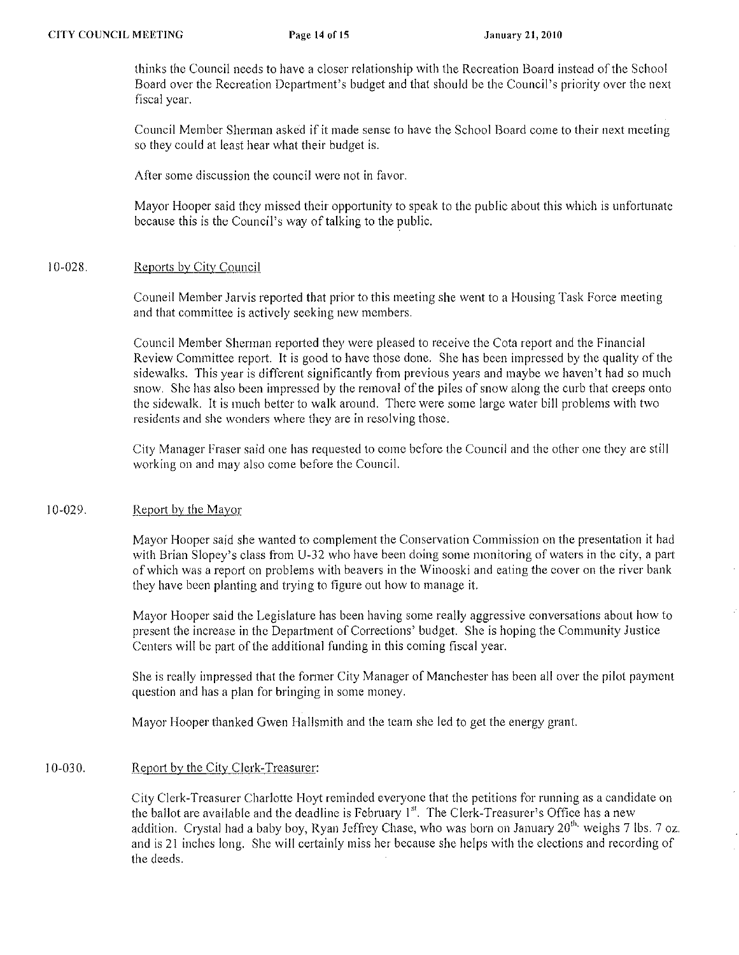thinks the Council necds to have a closer relationship with the Recreation Board instead of the School Board ovcr the Recreation Department's budget and that should be the Council's priority over the next fiscal year.

Council Member Sherman asked if it made sense to have the School Board come to their next meeting so they could at least hear what their budget is.

After some discussion the council were not in favor.

Mayor Hooper said thcy missed their opportunity to speak to the public about this which is unfortunatc because this is the Council's way of talking to the public.

### 10-028. Reports by City Council

Council Membcr Jarvis reported that prior to this meeting she went to a Housing Task Force meeting and that committee is actively seeking new members.

Council Member Sherman reported they were pleased to receive the Cota report and the Financial Review Committee report. It is good to have those done. She has been impressed by the quality of the sidewalks. This year is different significantly from previous years and maybe we haven't had so much snow. She has also been impressed by the removal of the piles of snow along the curb that creeps onto the sidewalk. It is much better to walk around. There were some large water bill problems with two residcnts and she wonders where they are in resolving those.

City Manager Fraser said one has requested to come before the Council and the other one they are still working on and may also come before the Council.

#### 10-029. Report by the Mayor

Mayor Hooper said she wanted to complement the Conservation Commission on the presentation it had with Brian Siopey's class from U-32 who have been doing some monitoring of waters in the city, a part of which was a report on problems with beavers in the Winooski and eating the eover on the river bank they have been planting and trying to figure out how to manage it.

Mayor Hooper said the Legislature has been having some really aggressive conversations about how to present the increase in the Department of Corrections' budget. She is hoping the Community Justice Centers will be part of the additional funding in this coming fiscal year.

She is really impressed that the former City Manager of Manchester has been all over the pilot payment question and has a plan for bringing in some money.

Mayor Hooper thanked Gwen Hallsmith and the team she led to get the energy grant.

## 10-03 O. Report by the City Clerk-Treasurer:

City Clerk-Treasurer Charlotte Hoyt reminded everyone that the petitions for running as a candidate on the ballot are available and the deadline is February  $1<sup>st</sup>$ . The Clerk-Treasurer's Office has a new addition. Crystal had a baby boy, Ryan Jeffrey Chase, who was born on January  $20^{th}$  weighs 7 lbs. 7 oz. and is 21 inches long. She will certainly miss her because she helps with the clections and recording of the deeds.